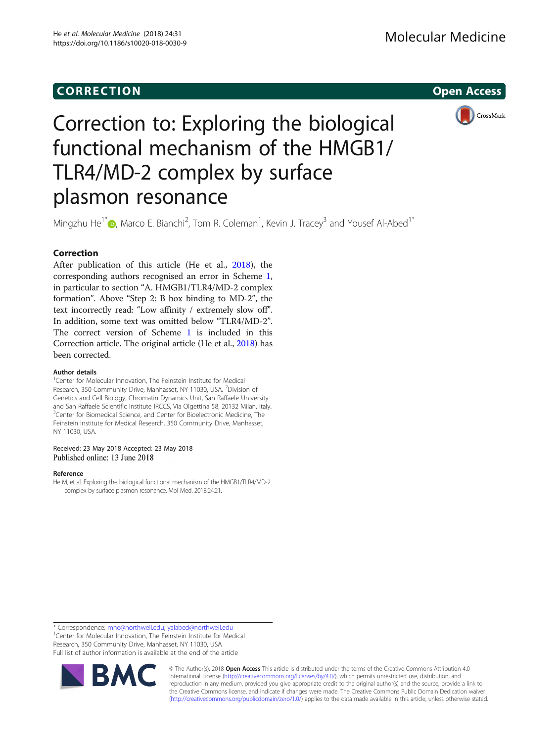## **CORRECTION CORRECTION**



# Correction to: Exploring the biological functional mechanism of the HMGB1/ TLR4/MD-2 complex by surface plasmon resonance

Mingzhu He<sup>1\*</sup>®[,](http://orcid.org/0000-0001-7779-2411) Marco E. Bianchi<sup>2</sup>, Tom R. Coleman<sup>1</sup>, Kevin J. Tracey<sup>3</sup> and Yousef Al-Abed<sup>1\*</sup>

### Correction

After publication of this article (He et al., 2018), the corresponding authors recognised an error in Scheme [1](#page-1-0), in particular to section "A. HMGB1/TLR4/MD-2 complex formation". Above "Step 2: B box binding to MD-2", the text incorrectly read: "Low affinity / extremely slow off". In addition, some text was omitted below "TLR4/MD-2". The correct version of Scheme [1](#page-1-0) is included in this Correction article. The original article (He et al., 2018) has been corrected.

#### Author details

<sup>1</sup>Center for Molecular Innovation, The Feinstein Institute for Medical Research, 350 Community Drive, Manhasset, NY 11030, USA. <sup>2</sup>Division of Genetics and Cell Biology, Chromatin Dynamics Unit, San Raffaele University and San Raffaele Scientific Institute IRCCS, Via Olgettina 58, 20132 Milan, Italy. <sup>3</sup>Center for Biomedical Science, and Center for Bioelectronic Medicine, The Feinstein Institute for Medical Research, 350 Community Drive, Manhasset, NY 11030, USA.

#### Received: 23 May 2018 Accepted: 23 May 2018 Published online: 13 June 2018

#### Reference

He M, et al. Exploring the biological functional mechanism of the HMGB1/TLR4/MD-2 complex by surface plasmon resonance. Mol Med. 2018;24:21.

\* Correspondence: [mhe@northwell.edu;](mailto:mhe@northwell.edu) [yalabed@northwell.edu](mailto:yalabed@northwell.edu) <sup>1</sup> <sup>1</sup> Center for Molecular Innovation, The Feinstein Institute for Medical Research, 350 Community Drive, Manhasset, NY 11030, USA Full list of author information is available at the end of the article



© The Author(s). 2018 **Open Access** This article is distributed under the terms of the Creative Commons Attribution 4.0 International License [\(http://creativecommons.org/licenses/by/4.0/](http://creativecommons.org/licenses/by/4.0/)), which permits unrestricted use, distribution, and reproduction in any medium, provided you give appropriate credit to the original author(s) and the source, provide a link to the Creative Commons license, and indicate if changes were made. The Creative Commons Public Domain Dedication waiver [\(http://creativecommons.org/publicdomain/zero/1.0/](http://creativecommons.org/publicdomain/zero/1.0/)) applies to the data made available in this article, unless otherwise stated.